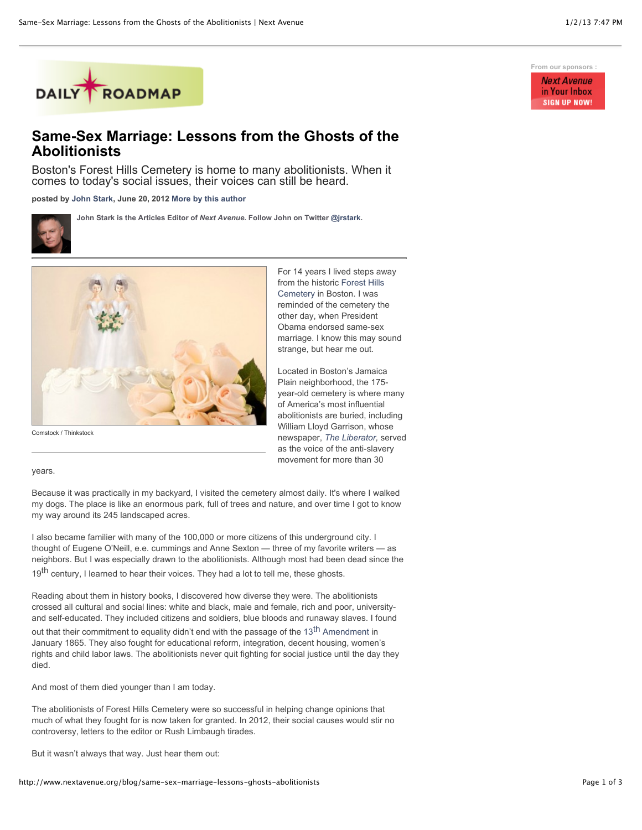

## **Same-Sex Marriage: Lessons from the Ghosts of the Abolitionists**

Boston's Forest Hills Cemetery is home to many abolitionists. When it comes to today's social issues, their voices can still be heard.

**posted by [John Stark,](http://www.nextavenue.org/staff/john-stark) June 20, 2012 [More by this author](http://www.nextavenue.org/staff/john-stark)**

**John Stark is the Articles Editor of** *Next Avenue***. Follow John on Twitter [@jrstark.](http://twitter.com/jrstark)**



Comstock / Thinkstock

For 14 years I lived steps away [from the historic Forest Hills](http://www.foresthillscemetery.com/) Cemetery in Boston. I was reminded of the cemetery the other day, when President Obama endorsed same-sex marriage. I know this may sound strange, but hear me out.

Located in Boston's Jamaica Plain neighborhood, the 175 year-old cemetery is where many of America's most influential abolitionists are buried, including William Lloyd Garrison, whose newspaper, *[The Liberator,](http://www.theliberatorfiles.com/)* served as the voice of the anti-slavery movement for more than 30

years.

Because it was practically in my backyard, I visited the cemetery almost daily. It's where I walked my dogs. The place is like an enormous park, full of trees and nature, and over time I got to know my way around its 245 landscaped acres.

I also became familier with many of the 100,000 or more citizens of this underground city. I thought of Eugene O'Neill, e.e. cummings and Anne Sexton — three of my favorite writers — as neighbors. But I was especially drawn to the abolitionists. Although most had been dead since the 19<sup>th</sup> century, I learned to hear their voices. They had a lot to tell me, these ghosts.

Reading about them in history books, I discovered how diverse they were. The abolitionists crossed all cultural and social lines: white and black, male and female, rich and poor, universityand self-educated. They included citizens and soldiers, blue bloods and runaway slaves. I found

out that their commitment to equality didn't end with the passage of the 13<sup>th</sup> Amendment in January 1865. They also fought for educational reform, integration, decent housing, women's rights and child labor laws. The abolitionists never quit fighting for social justice until the day they died.

And most of them died younger than I am today.

The abolitionists of Forest Hills Cemetery were so successful in helping change opinions that much of what they fought for is now taken for granted. In 2012, their social causes would stir no controversy, letters to the editor or Rush Limbaugh tirades.

But it wasn't always that way. Just hear them out:

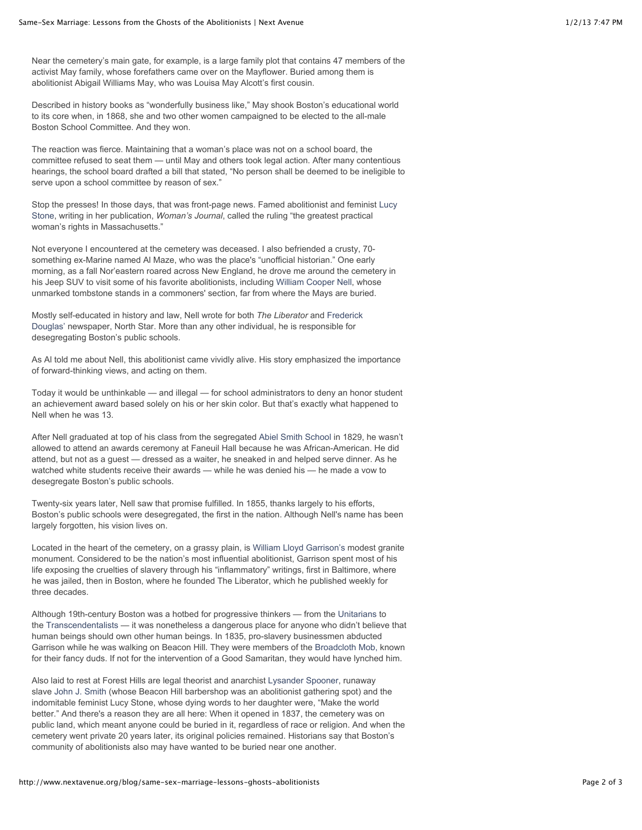Near the cemetery's main gate, for example, is a large family plot that contains 47 members of the activist May family, whose forefathers came over on the Mayflower. Buried among them is abolitionist Abigail Williams May, who was Louisa May Alcott's first cousin.

Described in history books as "wonderfully business like," May shook Boston's educational world to its core when, in 1868, she and two other women campaigned to be elected to the all-male Boston School Committee. And they won.

The reaction was fierce. Maintaining that a woman's place was not on a school board, the committee refused to seat them — until May and others took legal action. After many contentious hearings, the school board drafted a bill that stated, "No person shall be deemed to be ineligible to serve upon a school committee by reason of sex."

[Stop the presses! In those days, that was front-page news. Famed abolitionist and feminist Lucy](http://www.greatwomen.org/women-of-the-hall/search-the-hall/details/2/152-Stone) Stone, writing in her publication, *Woman's Journal*, called the ruling "the greatest practical woman's rights in Massachusetts."

Not everyone I encountered at the cemetery was deceased. I also befriended a crusty, 70 something ex-Marine named Al Maze, who was the place's "unofficial historian." One early morning, as a fall Nor'eastern roared across New England, he drove me around the cemetery in his Jeep SUV to visit some of his favorite abolitionists, including [William Cooper Nell,](http://en.wikipedia.org/wiki/William_Cooper_Nell) whose unmarked tombstone stands in a commoners' section, far from where the Mays are buried.

Mostly self-educated in history and law, Nell wrote for both *The Liberator* and Frederick [Douglas' newspaper, North Star. More than any other individual, he is responsible for](http://www.frederickdouglass.org/douglass_bio.html) desegregating Boston's public schools.

As Al told me about Nell, this abolitionist came vividly alive. His story emphasized the importance of forward-thinking views, and acting on them.

Today it would be unthinkable — and illegal — for school administrators to deny an honor student an achievement award based solely on his or her skin color. But that's exactly what happened to Nell when he was 13.

After Nell graduated at top of his class from the segregated [Abiel Smith School](http://www.nps.gov/boaf/historyculture/abiel-smith-school.htm) in 1829, he wasn't allowed to attend an awards ceremony at Faneuil Hall because he was African-American. He did attend, but not as a guest — dressed as a waiter, he sneaked in and helped serve dinner. As he watched white students receive their awards — while he was denied his — he made a vow to desegregate Boston's public schools.

Twenty-six years later, Nell saw that promise fulfilled. In 1855, thanks largely to his efforts, Boston's public schools were desegregated, the first in the nation. Although Nell's name has been largely forgotten, his vision lives on.

Located in the heart of the cemetery, on a grassy plain, is [William Lloyd Garrison's](http://www.answers.com/topic/william-lloyd-garrison) modest granite monument. Considered to be the nation's most influential abolitionist, Garrison spent most of his life exposing the cruelties of slavery through his "inflammatory" writings, first in Baltimore, where he was jailed, then in Boston, where he founded The Liberator, which he published weekly for three decades.

Although 19th-century Boston was a hotbed for progressive thinkers — from the [Unitarians](http://www.spartacus.schoolnet.co.uk/PRunitarian.htm) to the [Transcendentalists](http://www.transcendentalists.com/) — it was nonetheless a dangerous place for anyone who didn't believe that human beings should own other human beings. In 1835, pro-slavery businessmen abducted Garrison while he was walking on Beacon Hill. They were members of the [Broadcloth Mob,](http://news.google.com/newspapers?nid=2249&dat=18910207&id=o3U-AAAAIBAJ&sjid=mVkMAAAAIBAJ&pg=2981,2850722) known for their fancy duds. If not for the intervention of a Good Samaritan, they would have lynched him.

Also laid to rest at Forest Hills are legal theorist and anarchist [Lysander Spooner,](http://www.lysanderspooner.org/) runaway slave [John J. Smith \(](http://www.afroammuseum.org/site4.htm)whose Beacon Hill barbershop was an abolitionist gathering spot) and the indomitable feminist Lucy Stone, whose dying words to her daughter were, "Make the world better." And there's a reason they are all here: When it opened in 1837, the cemetery was on public land, which meant anyone could be buried in it, regardless of race or religion. And when the cemetery went private 20 years later, its original policies remained. Historians say that Boston's community of abolitionists also may have wanted to be buried near one another.